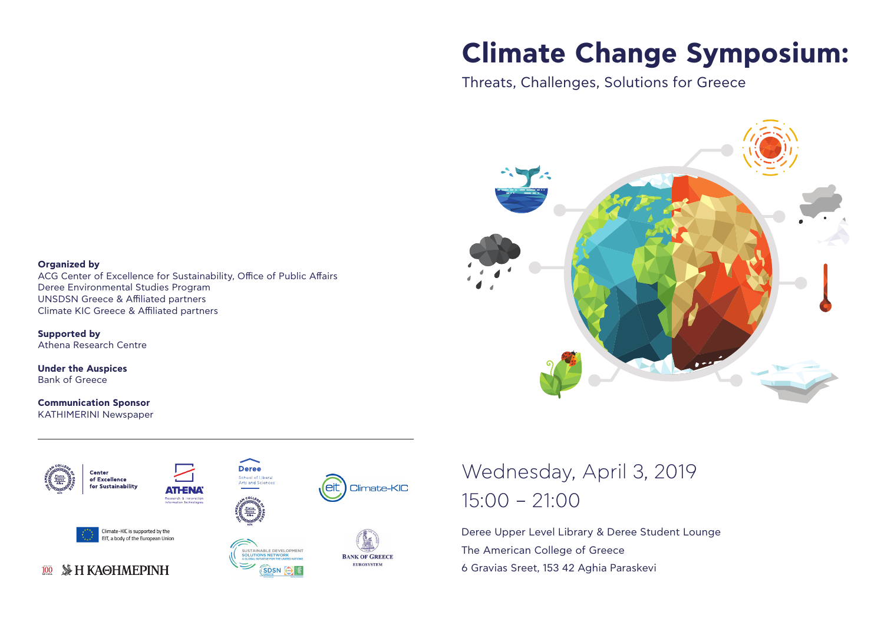# **Climate Change Symposium:**

Threats, Challenges, Solutions for Greece



### **Organized by**

ACG Center of Excellence for Sustainability, Office of Public Affairs Deree Environmental Studies Program UNSDSN Greece & Affiliated partners Climate KIC Greece & Affiliated partners

**Supported by** Athena Research Centre

**Under the Auspices** Bank of Greece

### **Communication Sponsor**

KATHIMERINI Newspaper



## Wednesday, April 3, 2019 15:00 – 21:00

Deree Upper Level Library & Deree Student Lounge The American College of Greece 6 Gravias Sreet, 153 42 Aghia Paraskevi